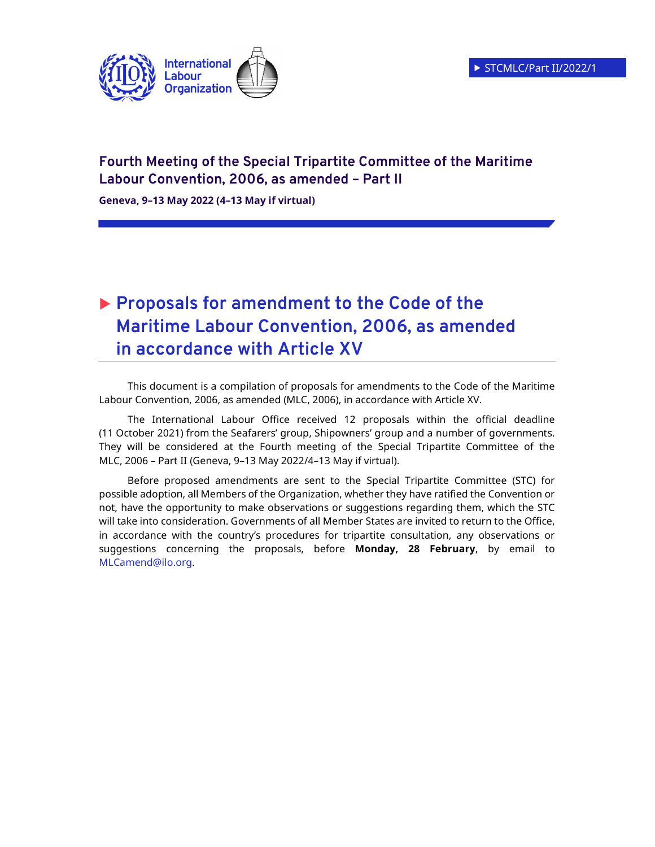

# **Fourth Meeting of the Special Tripartite Committee of the Maritime Labour Convention, 2006, as amended – Part II**

**Geneva, 9–13 May 2022 (4–13 May if virtual)** 

# **Proposals for amendment to the Code of the Maritime Labour Convention, 2006, as amended in accordance with Article XV**

This document is a compilation of proposals for amendments to the Code of the Maritime Labour Convention, 2006, as amended (MLC, 2006), in accordance with Article XV.

The International Labour Office received 12 proposals within the official deadline (11 October 2021) from the Seafarers' group, Shipowners' group and a number of governments. They will be considered at the Fourth meeting of the Special Tripartite Committee of the MLC, 2006 – Part II (Geneva, 9–13 May 2022/4–13 May if virtual).

Before proposed amendments are sent to the Special Tripartite Committee (STC) for possible adoption, all Members of the Organization, whether they have ratified the Convention or not, have the opportunity to make observations or suggestions regarding them, which the STC will take into consideration. Governments of all Member States are invited to return to the Office, in accordance with the country's procedures for tripartite consultation, any observations or suggestions concerning the proposals, before **Monday, 28 February**, by email to MLCamend@ilo.org.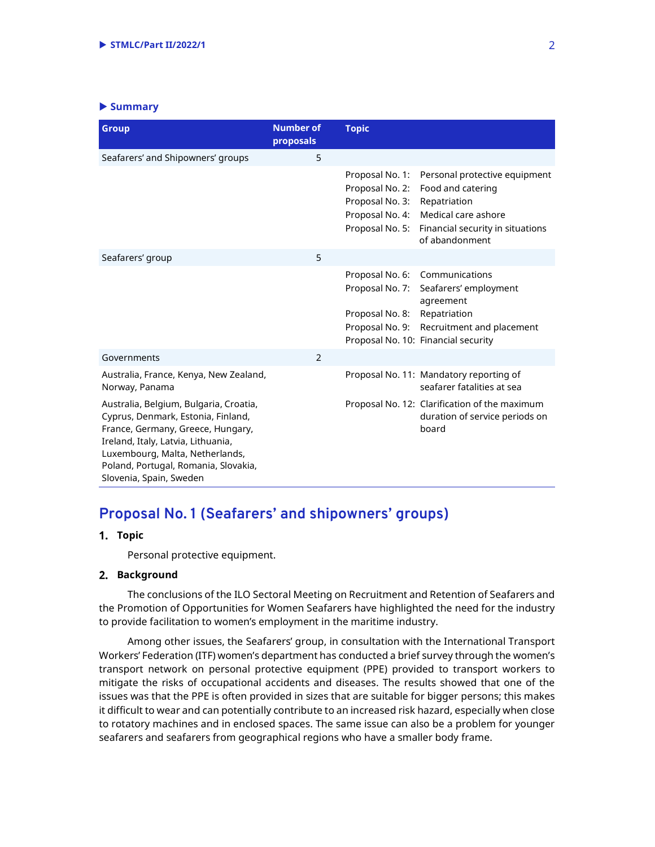#### - **Summary**

| <b>Group</b>                                                                                                                                                                                                                                                  | <b>Number of</b><br>proposals | <b>Topic</b>                                                                                |                                                                                                                                                 |
|---------------------------------------------------------------------------------------------------------------------------------------------------------------------------------------------------------------------------------------------------------------|-------------------------------|---------------------------------------------------------------------------------------------|-------------------------------------------------------------------------------------------------------------------------------------------------|
| Seafarers' and Shipowners' groups                                                                                                                                                                                                                             | 5                             |                                                                                             |                                                                                                                                                 |
|                                                                                                                                                                                                                                                               |                               | Proposal No. 1:<br>Proposal No. 2:<br>Proposal No. 3:<br>Proposal No. 4:<br>Proposal No. 5: | Personal protective equipment<br>Food and catering<br>Repatriation<br>Medical care ashore<br>Financial security in situations<br>of abandonment |
| Seafarers' group                                                                                                                                                                                                                                              | 5                             |                                                                                             |                                                                                                                                                 |
|                                                                                                                                                                                                                                                               |                               | Proposal No. 6:<br>Proposal No. 7:<br>Proposal No. 8:<br>Proposal No. 9:                    | Communications<br>Seafarers' employment<br>agreement<br>Repatriation<br>Recruitment and placement<br>Proposal No. 10: Financial security        |
| Governments                                                                                                                                                                                                                                                   | 2                             |                                                                                             |                                                                                                                                                 |
| Australia, France, Kenya, New Zealand,<br>Norway, Panama                                                                                                                                                                                                      |                               |                                                                                             | Proposal No. 11: Mandatory reporting of<br>seafarer fatalities at sea                                                                           |
| Australia, Belgium, Bulgaria, Croatia,<br>Cyprus, Denmark, Estonia, Finland,<br>France, Germany, Greece, Hungary,<br>Ireland, Italy, Latvia, Lithuania,<br>Luxembourg, Malta, Netherlands,<br>Poland, Portugal, Romania, Slovakia,<br>Slovenia, Spain, Sweden |                               |                                                                                             | Proposal No. 12: Clarification of the maximum<br>duration of service periods on<br>board                                                        |

# **Proposal No. 1 (Seafarers' and shipowners' groups)**

### **Topic**

Personal protective equipment.

#### **Background**

The conclusions of the ILO Sectoral Meeting on Recruitment and Retention of Seafarers and the Promotion of Opportunities for Women Seafarers have highlighted the need for the industry to provide facilitation to women's employment in the maritime industry.

Among other issues, the Seafarers' group, in consultation with the International Transport Workers' Federation (ITF) women's department has conducted a brief survey through the women's transport network on personal protective equipment (PPE) provided to transport workers to mitigate the risks of occupational accidents and diseases. The results showed that one of the issues was that the PPE is often provided in sizes that are suitable for bigger persons; this makes it difficult to wear and can potentially contribute to an increased risk hazard, especially when close to rotatory machines and in enclosed spaces. The same issue can also be a problem for younger seafarers and seafarers from geographical regions who have a smaller body frame.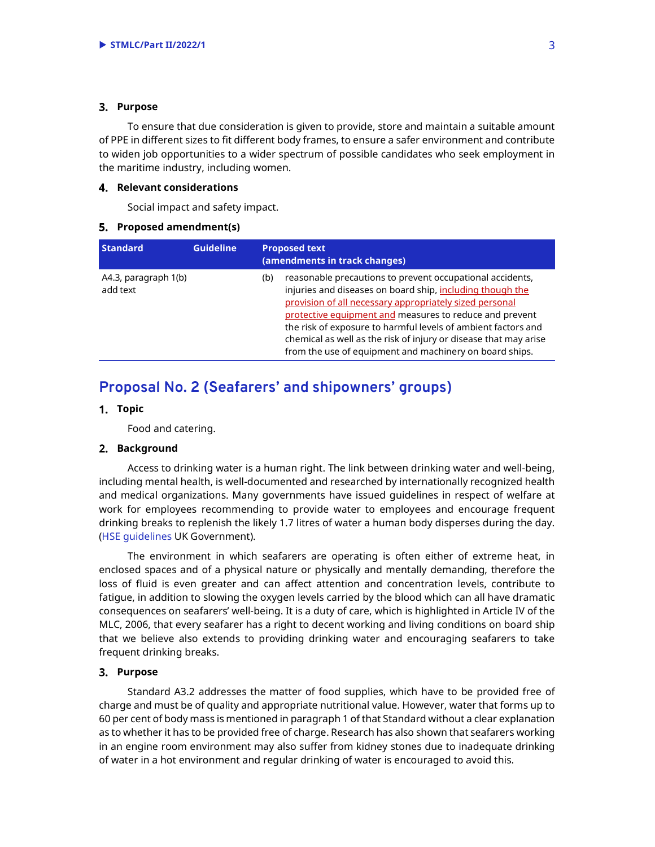#### **Purpose**

To ensure that due consideration is given to provide, store and maintain a suitable amount of PPE in different sizes to fit different body frames, to ensure a safer environment and contribute to widen job opportunities to a wider spectrum of possible candidates who seek employment in the maritime industry, including women.

#### **Relevant considerations**

Social impact and safety impact.

#### **Proposed amendment(s)**

| <b>Standard</b>                  | <b>Guideline</b> | <b>Proposed text</b><br>(amendments in track changes)                                                                                                                                                                                                                                                                                                                                                                                               |
|----------------------------------|------------------|-----------------------------------------------------------------------------------------------------------------------------------------------------------------------------------------------------------------------------------------------------------------------------------------------------------------------------------------------------------------------------------------------------------------------------------------------------|
| A4.3, paragraph 1(b)<br>add text |                  | reasonable precautions to prevent occupational accidents,<br>(b)<br>injuries and diseases on board ship, including though the<br>provision of all necessary appropriately sized personal<br>protective equipment and measures to reduce and prevent<br>the risk of exposure to harmful levels of ambient factors and<br>chemical as well as the risk of injury or disease that may arise<br>from the use of equipment and machinery on board ships. |

# **Proposal No. 2 (Seafarers' and shipowners' groups)**

#### **Topic**

Food and catering.

#### **Background**

Access to drinking water is a human right. The link between drinking water and well-being, including mental health, is well-documented and researched by internationally recognized health and medical organizations. Many governments have issued guidelines in respect of welfare at work for employees recommending to provide water to employees and encourage frequent drinking breaks to replenish the likely 1.7 litres of water a human body disperses during the day. (HSE guidelines UK Government).

The environment in which seafarers are operating is often either of extreme heat, in enclosed spaces and of a physical nature or physically and mentally demanding, therefore the loss of fluid is even greater and can affect attention and concentration levels, contribute to fatigue, in addition to slowing the oxygen levels carried by the blood which can all have dramatic consequences on seafarers' well-being. It is a duty of care, which is highlighted in Article IV of the MLC, 2006, that every seafarer has a right to decent working and living conditions on board ship that we believe also extends to providing drinking water and encouraging seafarers to take frequent drinking breaks.

#### **Purpose**

Standard A3.2 addresses the matter of food supplies, which have to be provided free of charge and must be of quality and appropriate nutritional value. However, water that forms up to 60 per cent of body mass is mentioned in paragraph 1 of that Standard without a clear explanation as to whether it has to be provided free of charge. Research has also shown that seafarers working in an engine room environment may also suffer from kidney stones due to inadequate drinking of water in a hot environment and regular drinking of water is encouraged to avoid this.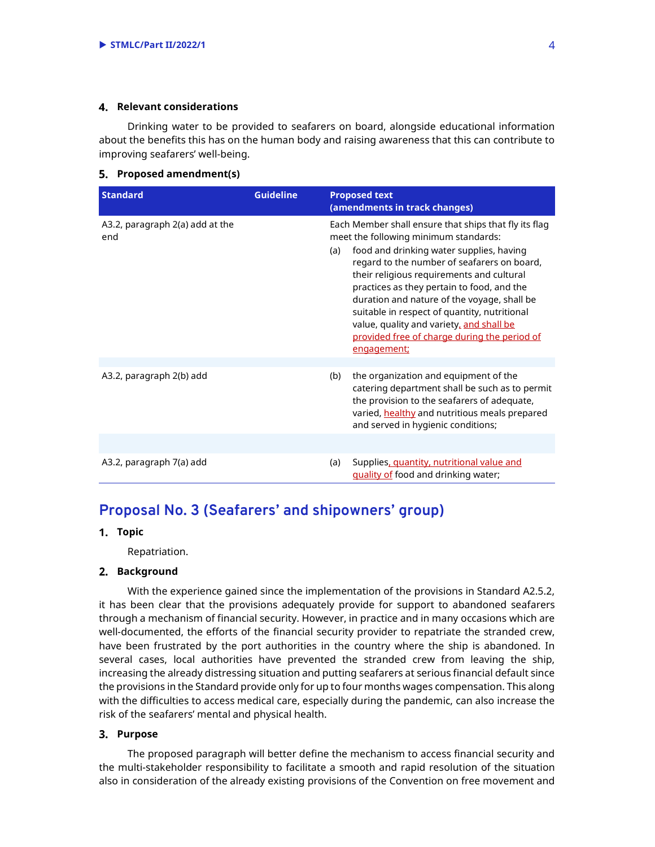#### **Relevant considerations**

Drinking water to be provided to seafarers on board, alongside educational information about the benefits this has on the human body and raising awareness that this can contribute to improving seafarers' well-being.

#### **Proposed amendment(s)**

| <b>Standard</b>                        | <b>Guideline</b> | <b>Proposed text</b><br>(amendments in track changes)                                                                                                                                                                                                                                                                                                                                                                                                                                                 |
|----------------------------------------|------------------|-------------------------------------------------------------------------------------------------------------------------------------------------------------------------------------------------------------------------------------------------------------------------------------------------------------------------------------------------------------------------------------------------------------------------------------------------------------------------------------------------------|
| A3.2, paragraph 2(a) add at the<br>end |                  | Each Member shall ensure that ships that fly its flag<br>meet the following minimum standards:<br>food and drinking water supplies, having<br>(a)<br>regard to the number of seafarers on board,<br>their religious requirements and cultural<br>practices as they pertain to food, and the<br>duration and nature of the voyage, shall be<br>suitable in respect of quantity, nutritional<br>value, quality and variety, and shall be<br>provided free of charge during the period of<br>engagement; |
|                                        |                  |                                                                                                                                                                                                                                                                                                                                                                                                                                                                                                       |
| A3.2, paragraph 2(b) add               |                  | the organization and equipment of the<br>(b)<br>catering department shall be such as to permit<br>the provision to the seafarers of adequate,<br>varied, healthy and nutritious meals prepared<br>and served in hygienic conditions;                                                                                                                                                                                                                                                                  |
|                                        |                  |                                                                                                                                                                                                                                                                                                                                                                                                                                                                                                       |
| A3.2, paragraph 7(a) add               |                  | Supplies, quantity, nutritional value and<br>(a)<br>quality of food and drinking water;                                                                                                                                                                                                                                                                                                                                                                                                               |

# **Proposal No. 3 (Seafarers' and shipowners' group)**

### **Topic**

Repatriation.

#### **Background**

With the experience gained since the implementation of the provisions in Standard A2.5.2, it has been clear that the provisions adequately provide for support to abandoned seafarers through a mechanism of financial security. However, in practice and in many occasions which are well-documented, the efforts of the financial security provider to repatriate the stranded crew, have been frustrated by the port authorities in the country where the ship is abandoned. In several cases, local authorities have prevented the stranded crew from leaving the ship, increasing the already distressing situation and putting seafarers at serious financial default since the provisions in the Standard provide only for up to four months wages compensation. This along with the difficulties to access medical care, especially during the pandemic, can also increase the risk of the seafarers' mental and physical health.

### **Purpose**

The proposed paragraph will better define the mechanism to access financial security and the multi-stakeholder responsibility to facilitate a smooth and rapid resolution of the situation also in consideration of the already existing provisions of the Convention on free movement and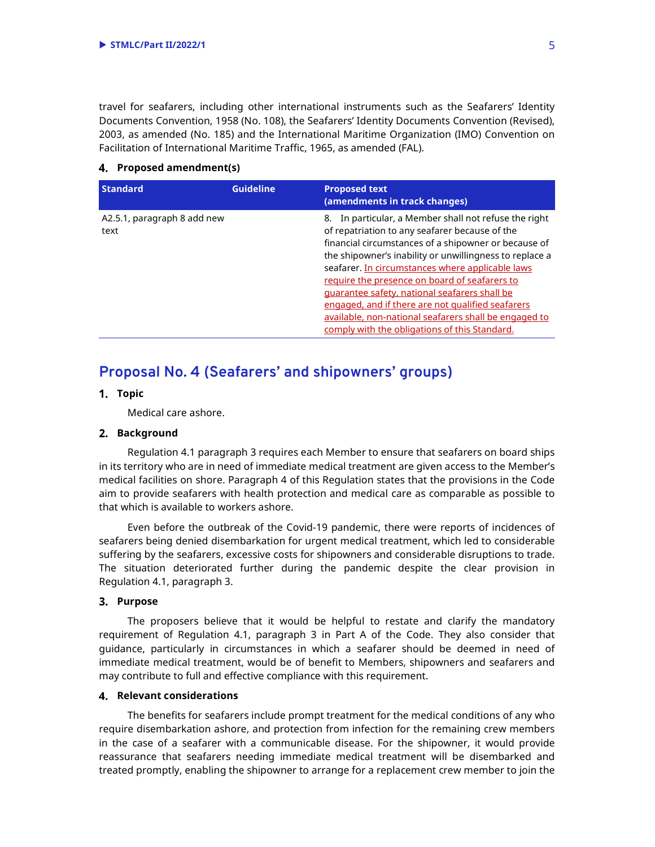travel for seafarers, including other international instruments such as the Seafarers' Identity Documents Convention, 1958 (No. 108), the Seafarers' Identity Documents Convention (Revised), 2003, as amended (No. 185) and the International Maritime Organization (IMO) Convention on Facilitation of International Maritime Traffic, 1965, as amended (FAL).

#### **Proposed amendment(s)**

| <b>Standard</b>                     | <b>Guideline</b> | <b>Proposed text</b><br>(amendments in track changes)                                                                                                                                                                                                                                                                                                                                                                                                                                                                                           |
|-------------------------------------|------------------|-------------------------------------------------------------------------------------------------------------------------------------------------------------------------------------------------------------------------------------------------------------------------------------------------------------------------------------------------------------------------------------------------------------------------------------------------------------------------------------------------------------------------------------------------|
| A2.5.1, paragraph 8 add new<br>text |                  | 8. In particular, a Member shall not refuse the right<br>of repatriation to any seafarer because of the<br>financial circumstances of a shipowner or because of<br>the shipowner's inability or unwillingness to replace a<br>seafarer. In circumstances where applicable laws<br>require the presence on board of seafarers to<br>quarantee safety, national seafarers shall be<br>engaged, and if there are not qualified seafarers<br>available, non-national seafarers shall be engaged to<br>comply with the obligations of this Standard. |

# **Proposal No. 4 (Seafarers' and shipowners' groups)**

### **Topic**

Medical care ashore.

#### **Background**

Regulation 4.1 paragraph 3 requires each Member to ensure that seafarers on board ships in its territory who are in need of immediate medical treatment are given access to the Member's medical facilities on shore. Paragraph 4 of this Regulation states that the provisions in the Code aim to provide seafarers with health protection and medical care as comparable as possible to that which is available to workers ashore.

Even before the outbreak of the Covid-19 pandemic, there were reports of incidences of seafarers being denied disembarkation for urgent medical treatment, which led to considerable suffering by the seafarers, excessive costs for shipowners and considerable disruptions to trade. The situation deteriorated further during the pandemic despite the clear provision in Regulation 4.1, paragraph 3.

#### **Purpose**

The proposers believe that it would be helpful to restate and clarify the mandatory requirement of Regulation 4.1, paragraph 3 in Part A of the Code. They also consider that guidance, particularly in circumstances in which a seafarer should be deemed in need of immediate medical treatment, would be of benefit to Members, shipowners and seafarers and may contribute to full and effective compliance with this requirement.

#### **Relevant considerations**

The benefits for seafarers include prompt treatment for the medical conditions of any who require disembarkation ashore, and protection from infection for the remaining crew members in the case of a seafarer with a communicable disease. For the shipowner, it would provide reassurance that seafarers needing immediate medical treatment will be disembarked and treated promptly, enabling the shipowner to arrange for a replacement crew member to join the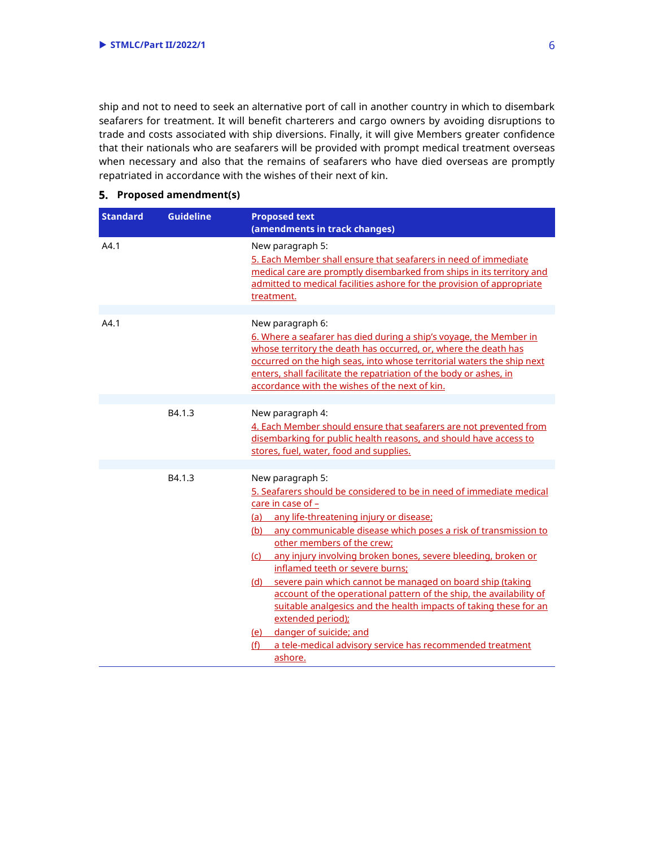ship and not to need to seek an alternative port of call in another country in which to disembark seafarers for treatment. It will benefit charterers and cargo owners by avoiding disruptions to trade and costs associated with ship diversions. Finally, it will give Members greater confidence that their nationals who are seafarers will be provided with prompt medical treatment overseas when necessary and also that the remains of seafarers who have died overseas are promptly repatriated in accordance with the wishes of their next of kin.

| <b>Standard</b> | <b>Guideline</b> | <b>Proposed text</b><br>(amendments in track changes)                                                                                                                                                                                                                                                                                                                                                                                                                                                                                                                                                                                                                                                                         |
|-----------------|------------------|-------------------------------------------------------------------------------------------------------------------------------------------------------------------------------------------------------------------------------------------------------------------------------------------------------------------------------------------------------------------------------------------------------------------------------------------------------------------------------------------------------------------------------------------------------------------------------------------------------------------------------------------------------------------------------------------------------------------------------|
| A4.1            |                  | New paragraph 5:<br>5. Each Member shall ensure that seafarers in need of immediate<br>medical care are promptly disembarked from ships in its territory and<br>admitted to medical facilities ashore for the provision of appropriate<br>treatment.                                                                                                                                                                                                                                                                                                                                                                                                                                                                          |
| A4.1            |                  | New paragraph 6:<br>6. Where a seafarer has died during a ship's voyage, the Member in<br>whose territory the death has occurred, or, where the death has<br>occurred on the high seas, into whose territorial waters the ship next<br>enters, shall facilitate the repatriation of the body or ashes, in<br>accordance with the wishes of the next of kin.                                                                                                                                                                                                                                                                                                                                                                   |
|                 | B4.1.3           | New paragraph 4:<br>4. Each Member should ensure that seafarers are not prevented from<br>disembarking for public health reasons, and should have access to<br>stores, fuel, water, food and supplies.                                                                                                                                                                                                                                                                                                                                                                                                                                                                                                                        |
|                 | B4.1.3           | New paragraph 5:<br>5. Seafarers should be considered to be in need of immediate medical<br>care in case of -<br>(a) any life-threatening injury or disease:<br>(b) any communicable disease which poses a risk of transmission to<br>other members of the crew;<br>(c) any injury involving broken bones, severe bleeding, broken or<br>inflamed teeth or severe burns:<br>severe pain which cannot be managed on board ship (taking<br>(d)<br>account of the operational pattern of the ship, the availability of<br>suitable analgesics and the health impacts of taking these for an<br>extended period);<br>danger of suicide; and<br>(e)<br>(f)<br>a tele-medical advisory service has recommended treatment<br>ashore. |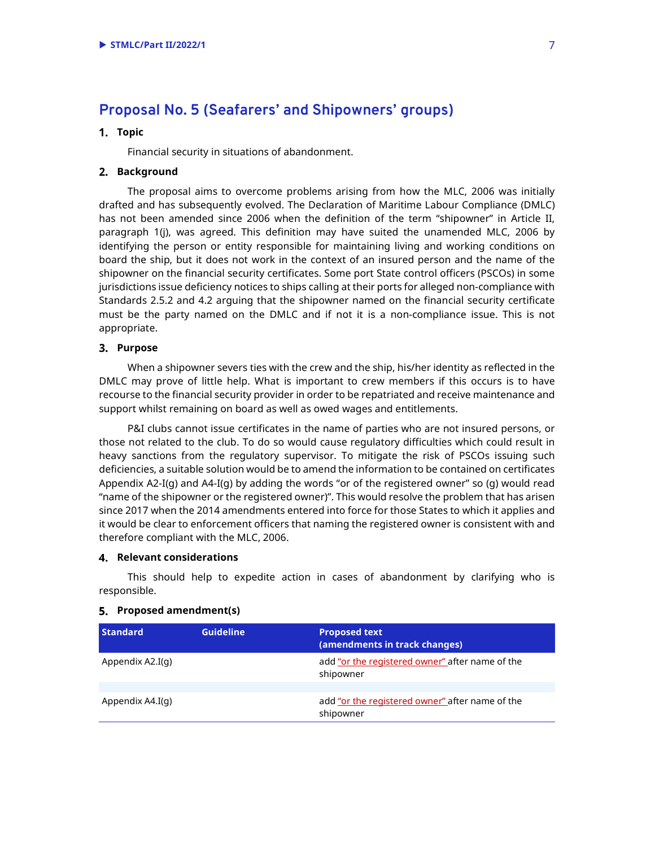# **Proposal No. 5 (Seafarers' and Shipowners' groups)**

#### **Topic**

Financial security in situations of abandonment.

#### **Background**

The proposal aims to overcome problems arising from how the MLC, 2006 was initially drafted and has subsequently evolved. The Declaration of Maritime Labour Compliance (DMLC) has not been amended since 2006 when the definition of the term "shipowner" in Article II, paragraph 1(j), was agreed. This definition may have suited the unamended MLC, 2006 by identifying the person or entity responsible for maintaining living and working conditions on board the ship, but it does not work in the context of an insured person and the name of the shipowner on the financial security certificates. Some port State control officers (PSCOs) in some jurisdictions issue deficiency notices to ships calling at their ports for alleged non-compliance with Standards 2.5.2 and 4.2 arguing that the shipowner named on the financial security certificate must be the party named on the DMLC and if not it is a non-compliance issue. This is not appropriate.

#### **Purpose**

When a shipowner severs ties with the crew and the ship, his/her identity as reflected in the DMLC may prove of little help. What is important to crew members if this occurs is to have recourse to the financial security provider in order to be repatriated and receive maintenance and support whilst remaining on board as well as owed wages and entitlements.

P&I clubs cannot issue certificates in the name of parties who are not insured persons, or those not related to the club. To do so would cause regulatory difficulties which could result in heavy sanctions from the regulatory supervisor. To mitigate the risk of PSCOs issuing such deficiencies, a suitable solution would be to amend the information to be contained on certificates Appendix A2-I(g) and A4-I(g) by adding the words "or of the registered owner" so (g) would read "name of the shipowner or the registered owner)". This would resolve the problem that has arisen since 2017 when the 2014 amendments entered into force for those States to which it applies and it would be clear to enforcement officers that naming the registered owner is consistent with and therefore compliant with the MLC, 2006.

#### **Relevant considerations**

This should help to expedite action in cases of abandonment by clarifying who is responsible.

| <b>Standard</b>  | <b>Guideline</b> | <b>Proposed text</b><br>(amendments in track changes)        |
|------------------|------------------|--------------------------------------------------------------|
| Appendix A2.I(q) |                  | add "or the registered owner" after name of the<br>shipowner |
|                  |                  |                                                              |
| Appendix A4.I(q) |                  | add "or the registered owner" after name of the<br>shipowner |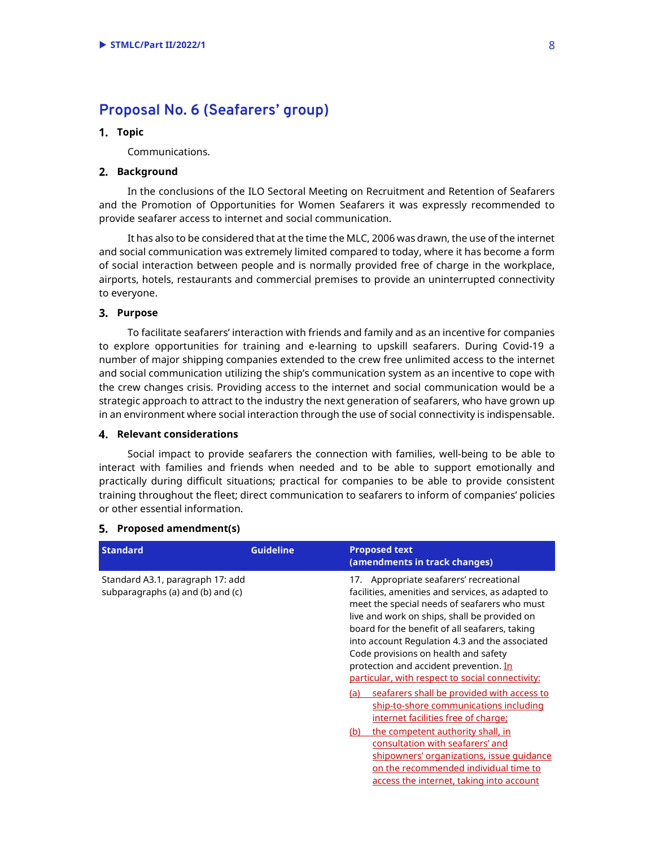# **Proposal No. 6 (Seafarers' group)**

#### **Topic**

Communications.

#### **Background**

In the conclusions of the ILO Sectoral Meeting on Recruitment and Retention of Seafarers and the Promotion of Opportunities for Women Seafarers it was expressly recommended to provide seafarer access to internet and social communication.

It has also to be considered that at the time the MLC, 2006 was drawn, the use of the internet and social communication was extremely limited compared to today, where it has become a form of social interaction between people and is normally provided free of charge in the workplace, airports, hotels, restaurants and commercial premises to provide an uninterrupted connectivity to everyone.

#### **Purpose**

To facilitate seafarers' interaction with friends and family and as an incentive for companies to explore opportunities for training and e-learning to upskill seafarers. During Covid-19 a number of major shipping companies extended to the crew free unlimited access to the internet and social communication utilizing the ship's communication system as an incentive to cope with the crew changes crisis. Providing access to the internet and social communication would be a strategic approach to attract to the industry the next generation of seafarers, who have grown up in an environment where social interaction through the use of social connectivity is indispensable.

#### **Relevant considerations**

Social impact to provide seafarers the connection with families, well-being to be able to interact with families and friends when needed and to be able to support emotionally and practically during difficult situations; practical for companies to be able to provide consistent training throughout the fleet; direct communication to seafarers to inform of companies' policies or other essential information.

| <b>Standard</b>                                                       | <b>Guideline</b> | <b>Proposed text</b><br>(amendments in track changes)                                                                                                                                                                                                                                                                                                                                                                                                                                                                                                                                                                                                                                                                                                                                          |
|-----------------------------------------------------------------------|------------------|------------------------------------------------------------------------------------------------------------------------------------------------------------------------------------------------------------------------------------------------------------------------------------------------------------------------------------------------------------------------------------------------------------------------------------------------------------------------------------------------------------------------------------------------------------------------------------------------------------------------------------------------------------------------------------------------------------------------------------------------------------------------------------------------|
| Standard A3.1, paragraph 17: add<br>subparagraphs (a) and (b) and (c) |                  | 17. Appropriate seafarers' recreational<br>facilities, amenities and services, as adapted to<br>meet the special needs of seafarers who must<br>live and work on ships, shall be provided on<br>board for the benefit of all seafarers, taking<br>into account Regulation 4.3 and the associated<br>Code provisions on health and safety<br>protection and accident prevention. In<br>particular, with respect to social connectivity:<br>seafarers shall be provided with access to<br>(a)<br>ship-to-shore communications including<br>internet facilities free of charge;<br>the competent authority shall, in<br>(b)<br>consultation with seafarers' and<br>shipowners' organizations, issue quidance<br>on the recommended individual time to<br>access the internet, taking into account |
|                                                                       |                  |                                                                                                                                                                                                                                                                                                                                                                                                                                                                                                                                                                                                                                                                                                                                                                                                |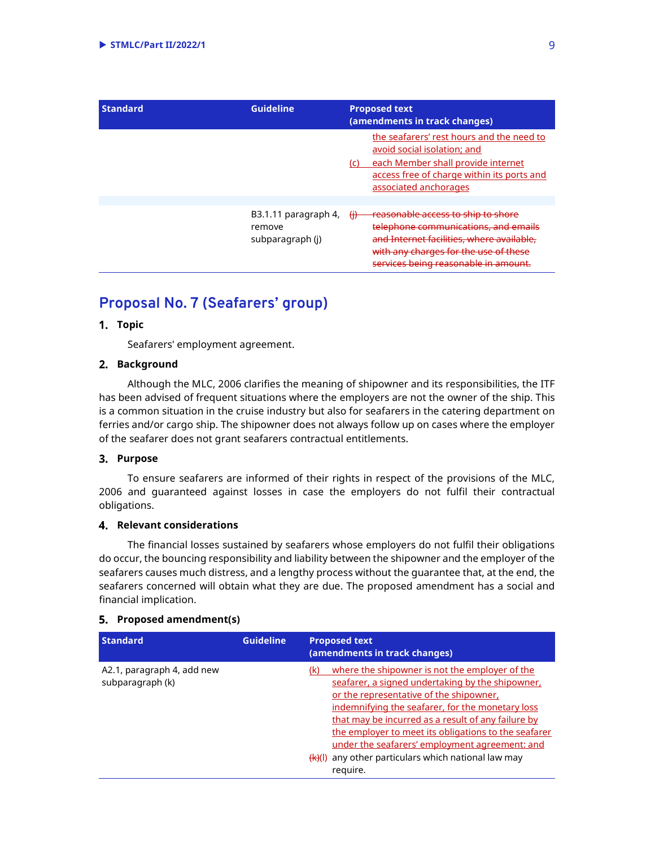| <b>Standard</b> | <b>Guideline</b>                                   | <b>Proposed text</b><br>(amendments in track changes)                                                                                                                                                                         |
|-----------------|----------------------------------------------------|-------------------------------------------------------------------------------------------------------------------------------------------------------------------------------------------------------------------------------|
|                 |                                                    | the seafarers' rest hours and the need to<br>avoid social isolation; and<br>each Member shall provide internet<br>(C)<br>access free of charge within its ports and<br>associated anchorages                                  |
|                 | B3.1.11 paragraph 4,<br>remove<br>subparagraph (j) | <del>reasonable access to ship to shore</del><br>₩<br>telephone communications, and emails<br>and Internet facilities, where available,<br>with any charges for the use of<br><del>services being reasonable in amount.</del> |

# **Proposal No. 7 (Seafarers' group)**

### **Topic**

Seafarers' employment agreement.

#### **Background**

Although the MLC, 2006 clarifies the meaning of shipowner and its responsibilities, the ITF has been advised of frequent situations where the employers are not the owner of the ship. This is a common situation in the cruise industry but also for seafarers in the catering department on ferries and/or cargo ship. The shipowner does not always follow up on cases where the employer of the seafarer does not grant seafarers contractual entitlements.

### **Purpose**

To ensure seafarers are informed of their rights in respect of the provisions of the MLC, 2006 and guaranteed against losses in case the employers do not fulfil their contractual obligations.

#### **Relevant considerations**

The financial losses sustained by seafarers whose employers do not fulfil their obligations do occur, the bouncing responsibility and liability between the shipowner and the employer of the seafarers causes much distress, and a lengthy process without the guarantee that, at the end, the seafarers concerned will obtain what they are due. The proposed amendment has a social and financial implication.

| <b>Standard</b>                                | <b>Guideline</b>   | <b>Proposed text</b><br>(amendments in track changes)                                                                                                                                                                                                                                                                                                                                                                         |
|------------------------------------------------|--------------------|-------------------------------------------------------------------------------------------------------------------------------------------------------------------------------------------------------------------------------------------------------------------------------------------------------------------------------------------------------------------------------------------------------------------------------|
| A2.1, paragraph 4, add new<br>subparagraph (k) | <del>(k)</del> (l) | where the shipowner is not the employer of the<br>seafarer, a signed undertaking by the shipowner,<br>or the representative of the shipowner,<br>indemnifying the seafarer, for the monetary loss<br>that may be incurred as a result of any failure by<br>the employer to meet its obligations to the seafarer<br>under the seafarers' employment agreement: and<br>any other particulars which national law may<br>require. |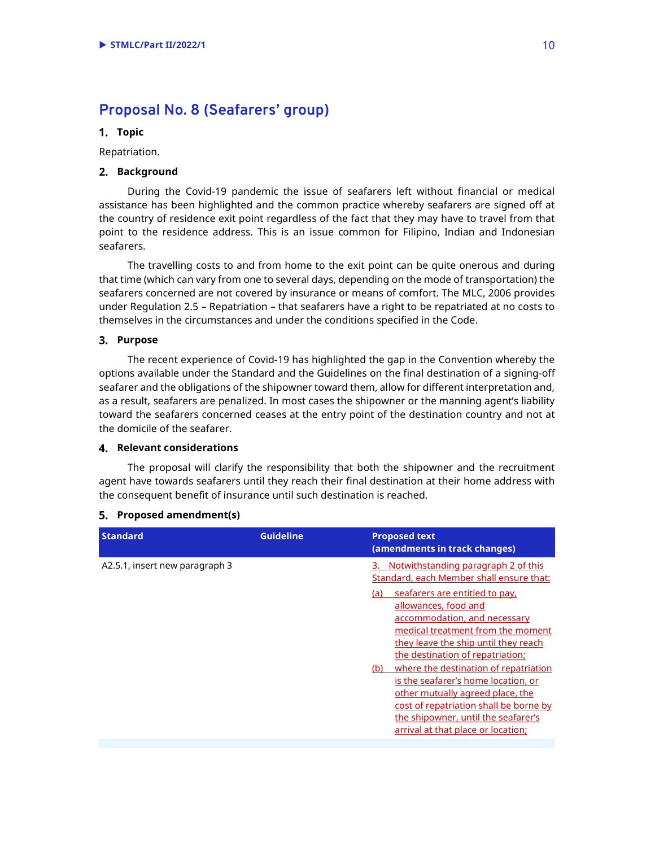# **Proposal No. 8 (Seafarers' group)**

#### **Topic**

Repatriation.

#### **Background**

During the Covid-19 pandemic the issue of seafarers left without financial or medical assistance has been highlighted and the common practice whereby seafarers are signed off at the country of residence exit point regardless of the fact that they may have to travel from that point to the residence address. This is an issue common for Filipino, Indian and Indonesian seafarers.

The travelling costs to and from home to the exit point can be quite onerous and during that time (which can vary from one to several days, depending on the mode of transportation) the seafarers concerned are not covered by insurance or means of comfort. The MLC, 2006 provides under Regulation 2.5 – Repatriation – that seafarers have a right to be repatriated at no costs to themselves in the circumstances and under the conditions specified in the Code.

#### **Purpose**

The recent experience of Covid-19 has highlighted the gap in the Convention whereby the options available under the Standard and the Guidelines on the final destination of a signing-off seafarer and the obligations of the shipowner toward them, allow for different interpretation and, as a result, seafarers are penalized. In most cases the shipowner or the manning agent's liability toward the seafarers concerned ceases at the entry point of the destination country and not at the domicile of the seafarer.

#### **Relevant considerations**

The proposal will clarify the responsibility that both the shipowner and the recruitment agent have towards seafarers until they reach their final destination at their home address with the consequent benefit of insurance until such destination is reached.

| <b>Standard</b>                | <b>Guideline</b> | <b>Proposed text</b><br>(amendments in track changes)                                                                                                                                                                                                                                                                                                                                                                        |
|--------------------------------|------------------|------------------------------------------------------------------------------------------------------------------------------------------------------------------------------------------------------------------------------------------------------------------------------------------------------------------------------------------------------------------------------------------------------------------------------|
| A2.5.1, insert new paragraph 3 |                  | Notwithstanding paragraph 2 of this<br>Standard, each Member shall ensure that:<br>seafarers are entitled to pay,<br>(a)<br>allowances, food and<br>accommodation, and necessary<br>medical treatment from the moment<br>they leave the ship until they reach<br>the destination of repatriation;<br>where the destination of repatriation<br>(b)<br>is the seafarer's home location, or<br>other mutually agreed place, the |
|                                |                  | cost of repatriation shall be borne by<br>the shipowner, until the seafarer's<br>arrival at that place or location;                                                                                                                                                                                                                                                                                                          |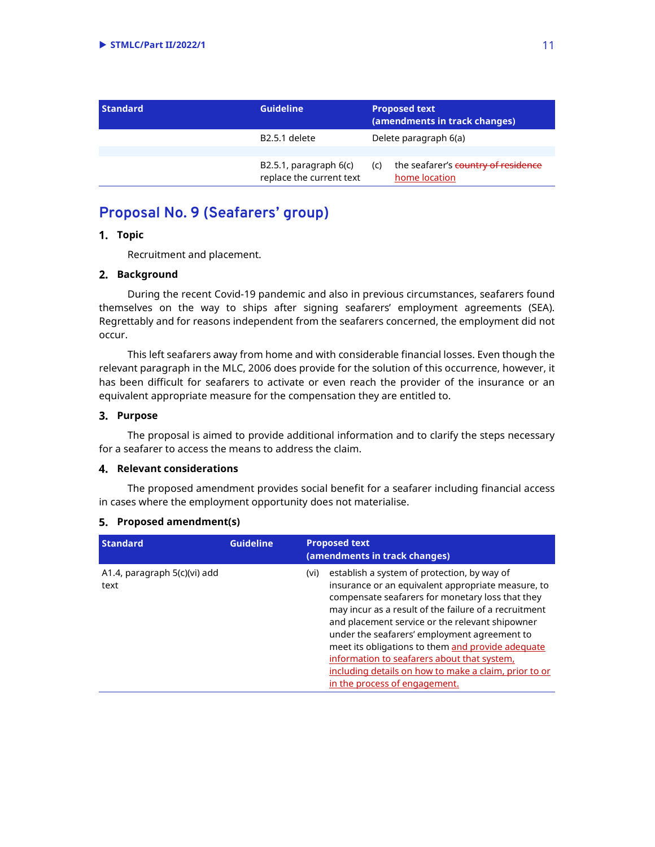| <b>Standard</b> | <b>Guideline</b>                                        |     | <b>Proposed text</b><br>(amendments in track changes) |  |
|-----------------|---------------------------------------------------------|-----|-------------------------------------------------------|--|
|                 | B <sub>2.5.1</sub> delete                               |     | Delete paragraph 6(a)                                 |  |
|                 | $B2.5.1$ , paragraph $6(c)$<br>replace the current text | (c) | the seafarer's country of residence<br>home location  |  |

# **Proposal No. 9 (Seafarers' group)**

### **Topic**

Recruitment and placement.

#### **Background**

During the recent Covid-19 pandemic and also in previous circumstances, seafarers found themselves on the way to ships after signing seafarers' employment agreements (SEA). Regrettably and for reasons independent from the seafarers concerned, the employment did not occur.

This left seafarers away from home and with considerable financial losses. Even though the relevant paragraph in the MLC, 2006 does provide for the solution of this occurrence, however, it has been difficult for seafarers to activate or even reach the provider of the insurance or an equivalent appropriate measure for the compensation they are entitled to.

#### **Purpose**

The proposal is aimed to provide additional information and to clarify the steps necessary for a seafarer to access the means to address the claim.

#### **Relevant considerations**

The proposed amendment provides social benefit for a seafarer including financial access in cases where the employment opportunity does not materialise.

| <b>Standard</b>                      | <b>Guideline</b> | <b>Proposed text</b><br>(amendments in track changes)                                                                                                                                                                                                                                                                                                                                                                                                                                                                   |
|--------------------------------------|------------------|-------------------------------------------------------------------------------------------------------------------------------------------------------------------------------------------------------------------------------------------------------------------------------------------------------------------------------------------------------------------------------------------------------------------------------------------------------------------------------------------------------------------------|
| A1.4, paragraph 5(c)(vi) add<br>text |                  | establish a system of protection, by way of<br>(vi)<br>insurance or an equivalent appropriate measure, to<br>compensate seafarers for monetary loss that they<br>may incur as a result of the failure of a recruitment<br>and placement service or the relevant shipowner<br>under the seafarers' employment agreement to<br>meet its obligations to them and provide adequate<br>information to seafarers about that system,<br>including details on how to make a claim, prior to or<br>in the process of engagement. |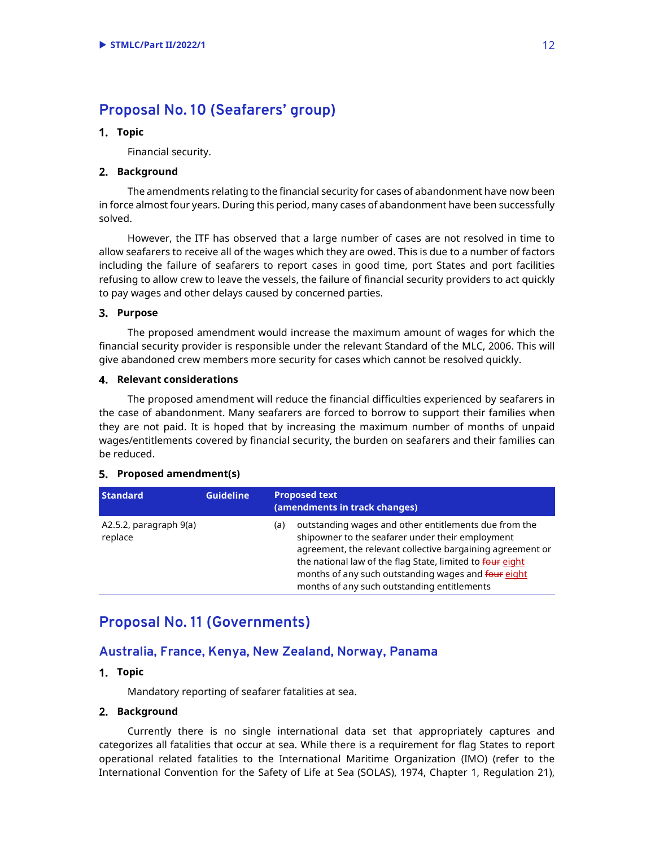# **Proposal No. 10 (Seafarers' group)**

#### **Topic**

Financial security.

#### **Background**

The amendments relating to the financial security for cases of abandonment have now been in force almost four years. During this period, many cases of abandonment have been successfully solved.

However, the ITF has observed that a large number of cases are not resolved in time to allow seafarers to receive all of the wages which they are owed. This is due to a number of factors including the failure of seafarers to report cases in good time, port States and port facilities refusing to allow crew to leave the vessels, the failure of financial security providers to act quickly to pay wages and other delays caused by concerned parties.

#### **Purpose**

The proposed amendment would increase the maximum amount of wages for which the financial security provider is responsible under the relevant Standard of the MLC, 2006. This will give abandoned crew members more security for cases which cannot be resolved quickly.

#### **Relevant considerations**

The proposed amendment will reduce the financial difficulties experienced by seafarers in the case of abandonment. Many seafarers are forced to borrow to support their families when they are not paid. It is hoped that by increasing the maximum number of months of unpaid wages/entitlements covered by financial security, the burden on seafarers and their families can be reduced.

#### **Proposed amendment(s)**

| <b>Standard</b>                   | <b>Guideline</b> | <b>Proposed text</b><br>(amendments in track changes)                                                                                                                                                                                                                                                                                             |
|-----------------------------------|------------------|---------------------------------------------------------------------------------------------------------------------------------------------------------------------------------------------------------------------------------------------------------------------------------------------------------------------------------------------------|
| A2.5.2, paragraph 9(a)<br>replace |                  | outstanding wages and other entitlements due from the<br>(a)<br>shipowner to the seafarer under their employment<br>agreement, the relevant collective bargaining agreement or<br>the national law of the flag State, limited to four eight<br>months of any such outstanding wages and four eight<br>months of any such outstanding entitlements |

## **Proposal No. 11 (Governments)**

### **Australia, France, Kenya, New Zealand, Norway, Panama**

### **Topic**

Mandatory reporting of seafarer fatalities at sea.

#### **Background**

Currently there is no single international data set that appropriately captures and categorizes all fatalities that occur at sea. While there is a requirement for flag States to report operational related fatalities to the International Maritime Organization (IMO) (refer to the International Convention for the Safety of Life at Sea (SOLAS), 1974, Chapter 1, Regulation 21),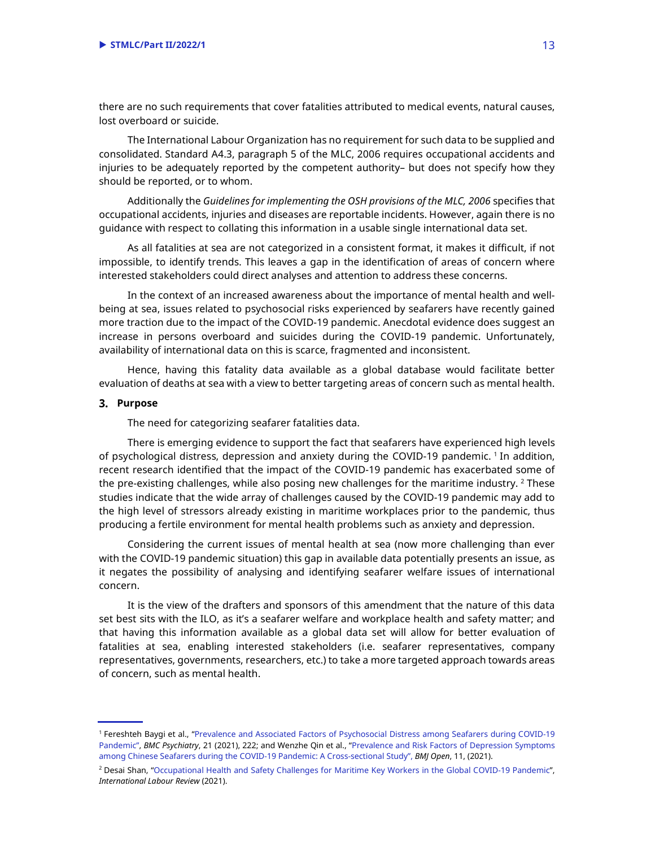there are no such requirements that cover fatalities attributed to medical events, natural causes, lost overboard or suicide.

The International Labour Organization has no requirement for such data to be supplied and consolidated. Standard A4.3, paragraph 5 of the MLC, 2006 requires occupational accidents and injuries to be adequately reported by the competent authority– but does not specify how they should be reported, or to whom.

Additionally the *Guidelines for implementing the OSH provisions of the MLC, 2006* specifies that occupational accidents, injuries and diseases are reportable incidents. However, again there is no guidance with respect to collating this information in a usable single international data set.

As all fatalities at sea are not categorized in a consistent format, it makes it difficult, if not impossible, to identify trends. This leaves a gap in the identification of areas of concern where interested stakeholders could direct analyses and attention to address these concerns.

In the context of an increased awareness about the importance of mental health and wellbeing at sea, issues related to psychosocial risks experienced by seafarers have recently gained more traction due to the impact of the COVID-19 pandemic. Anecdotal evidence does suggest an increase in persons overboard and suicides during the COVID-19 pandemic. Unfortunately, availability of international data on this is scarce, fragmented and inconsistent.

Hence, having this fatality data available as a global database would facilitate better evaluation of deaths at sea with a view to better targeting areas of concern such as mental health.

#### **Purpose**

The need for categorizing seafarer fatalities data.

There is emerging evidence to support the fact that seafarers have experienced high levels of psychological distress, depression and anxiety during the COVID-19 pandemic. <sup>1</sup> In addition, recent research identified that the impact of the COVID-19 pandemic has exacerbated some of the pre-existing challenges, while also posing new challenges for the maritime industry.  $^2$  These  $\,$ studies indicate that the wide array of challenges caused by the COVID-19 pandemic may add to the high level of stressors already existing in maritime workplaces prior to the pandemic, thus producing a fertile environment for mental health problems such as anxiety and depression.

Considering the current issues of mental health at sea (now more challenging than ever with the COVID-19 pandemic situation) this gap in available data potentially presents an issue, as it negates the possibility of analysing and identifying seafarer welfare issues of international concern.

It is the view of the drafters and sponsors of this amendment that the nature of this data set best sits with the ILO, as it's a seafarer welfare and workplace health and safety matter; and that having this information available as a global data set will allow for better evaluation of fatalities at sea, enabling interested stakeholders (i.e. seafarer representatives, company representatives, governments, researchers, etc.) to take a more targeted approach towards areas of concern, such as mental health.

<sup>1</sup> Fereshteh Baygi et al., "Prevalence and Associated Factors of Psychosocial Distress among Seafarers during COVID-19 Pandemic", *BMC Psychiatry*, 21 (2021), 222; and Wenzhe Qin et al., "Prevalence and Risk Factors of Depression Symptoms among Chinese Seafarers during the COVID-19 Pandemic: A Cross-sectional Study", *BMJ Open*, 11, (2021).

<sup>2</sup> Desai Shan, "Occupational Health and Safety Challenges for Maritime Key Workers in the Global COVID-19 Pandemic", *International Labour Review* (2021).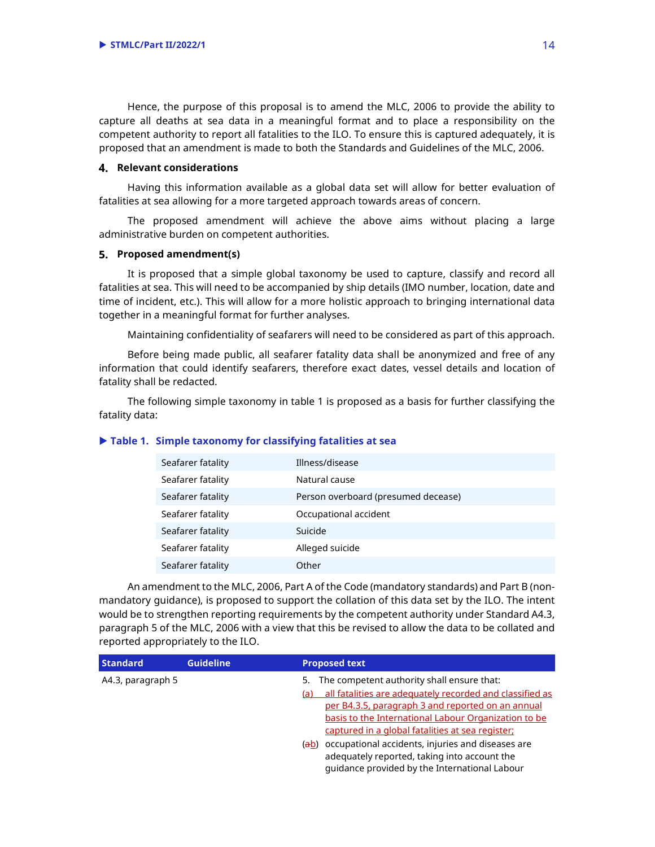Hence, the purpose of this proposal is to amend the MLC, 2006 to provide the ability to capture all deaths at sea data in a meaningful format and to place a responsibility on the competent authority to report all fatalities to the ILO. To ensure this is captured adequately, it is proposed that an amendment is made to both the Standards and Guidelines of the MLC, 2006.

#### **Relevant considerations**

Having this information available as a global data set will allow for better evaluation of fatalities at sea allowing for a more targeted approach towards areas of concern.

The proposed amendment will achieve the above aims without placing a large administrative burden on competent authorities.

#### **Proposed amendment(s)**

It is proposed that a simple global taxonomy be used to capture, classify and record all fatalities at sea. This will need to be accompanied by ship details (IMO number, location, date and time of incident, etc.). This will allow for a more holistic approach to bringing international data together in a meaningful format for further analyses.

Maintaining confidentiality of seafarers will need to be considered as part of this approach.

Before being made public, all seafarer fatality data shall be anonymized and free of any information that could identify seafarers, therefore exact dates, vessel details and location of fatality shall be redacted.

The following simple taxonomy in table 1 is proposed as a basis for further classifying the fatality data:

#### - **Table 1. Simple taxonomy for classifying fatalities at sea**

| Seafarer fatality | Illness/disease                     |
|-------------------|-------------------------------------|
| Seafarer fatality | Natural cause                       |
| Seafarer fatality | Person overboard (presumed decease) |
| Seafarer fatality | Occupational accident               |
| Seafarer fatality | Suicide                             |
| Seafarer fatality | Alleged suicide                     |
| Seafarer fatality | Other                               |

An amendment to the MLC, 2006, Part A of the Code (mandatory standards) and Part B (nonmandatory guidance), is proposed to support the collation of this data set by the ILO. The intent would be to strengthen reporting requirements by the competent authority under Standard A4.3, paragraph 5 of the MLC, 2006 with a view that this be revised to allow the data to be collated and reported appropriately to the ILO.

| <b>Standard</b>   | <b>Guideline</b> | <b>Proposed text</b>                                                                                                                                                                                                                                                                                                                                                                                                                            |
|-------------------|------------------|-------------------------------------------------------------------------------------------------------------------------------------------------------------------------------------------------------------------------------------------------------------------------------------------------------------------------------------------------------------------------------------------------------------------------------------------------|
| A4.3, paragraph 5 |                  | The competent authority shall ensure that:<br>5.<br>all fatalities are adequately recorded and classified as<br>(a)<br>per B4.3.5, paragraph 3 and reported on an annual<br>basis to the International Labour Organization to be<br>captured in a global fatalities at sea register;<br>(ab) occupational accidents, injuries and diseases are<br>adequately reported, taking into account the<br>guidance provided by the International Labour |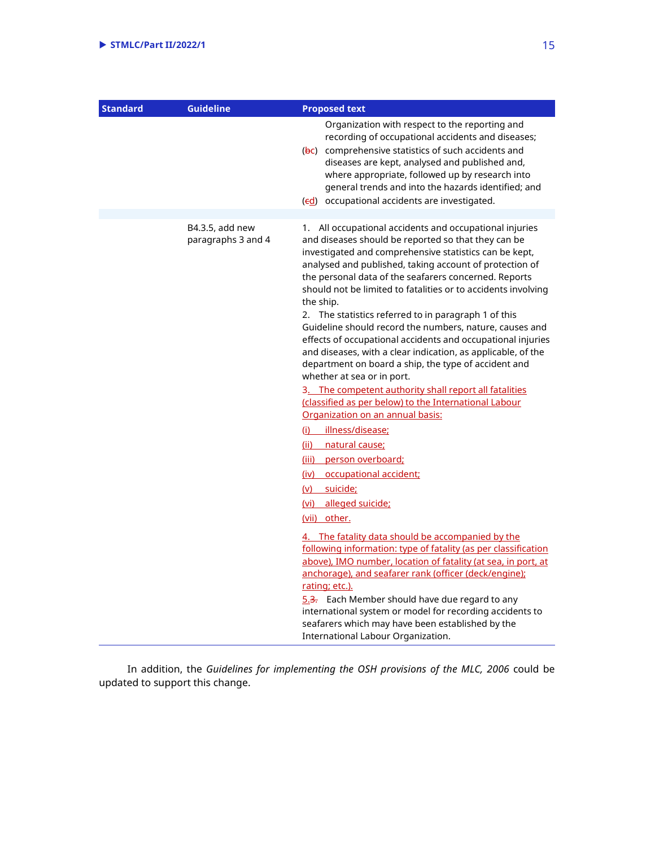| <b>Standard</b> | <b>Guideline</b>                      | <b>Proposed text</b>                                                                                                                                                                                                                                                                                                                                                                                                                                                                                                                                                                                                                                                                                                                                                                                                                                                                                                                                                                                                                                                                                                                                                                                                                                                                                                                                                                                                                   |
|-----------------|---------------------------------------|----------------------------------------------------------------------------------------------------------------------------------------------------------------------------------------------------------------------------------------------------------------------------------------------------------------------------------------------------------------------------------------------------------------------------------------------------------------------------------------------------------------------------------------------------------------------------------------------------------------------------------------------------------------------------------------------------------------------------------------------------------------------------------------------------------------------------------------------------------------------------------------------------------------------------------------------------------------------------------------------------------------------------------------------------------------------------------------------------------------------------------------------------------------------------------------------------------------------------------------------------------------------------------------------------------------------------------------------------------------------------------------------------------------------------------------|
|                 |                                       | Organization with respect to the reporting and<br>recording of occupational accidents and diseases;<br>(bc) comprehensive statistics of such accidents and<br>diseases are kept, analysed and published and,<br>where appropriate, followed up by research into<br>general trends and into the hazards identified; and<br>(ed) occupational accidents are investigated.                                                                                                                                                                                                                                                                                                                                                                                                                                                                                                                                                                                                                                                                                                                                                                                                                                                                                                                                                                                                                                                                |
|                 |                                       |                                                                                                                                                                                                                                                                                                                                                                                                                                                                                                                                                                                                                                                                                                                                                                                                                                                                                                                                                                                                                                                                                                                                                                                                                                                                                                                                                                                                                                        |
|                 | B4.3.5, add new<br>paragraphs 3 and 4 | 1. All occupational accidents and occupational injuries<br>and diseases should be reported so that they can be<br>investigated and comprehensive statistics can be kept,<br>analysed and published, taking account of protection of<br>the personal data of the seafarers concerned. Reports<br>should not be limited to fatalities or to accidents involving<br>the ship.<br>2. The statistics referred to in paragraph 1 of this<br>Guideline should record the numbers, nature, causes and<br>effects of occupational accidents and occupational injuries<br>and diseases, with a clear indication, as applicable, of the<br>department on board a ship, the type of accident and<br>whether at sea or in port.<br>3. The competent authority shall report all fatalities<br>(classified as per below) to the International Labour<br>Organization on an annual basis:<br>illness/disease;<br>(i)<br>(ii) natural cause;<br><u>(iii) person overboard;</u><br>(iv) occupational accident;<br>(v) suicide;<br>(vi) alleged suicide;<br>(vii) other.<br>4. The fatality data should be accompanied by the<br>following information: type of fatality (as per classification<br>above), IMO number, location of fatality (at sea, in port, at<br>anchorage), and seafarer rank (officer (deck/engine);<br>rating; etc.).<br>5.3. Each Member should have due regard to any<br>international system or model for recording accidents to |
|                 |                                       | seafarers which may have been established by the<br>International Labour Organization.                                                                                                                                                                                                                                                                                                                                                                                                                                                                                                                                                                                                                                                                                                                                                                                                                                                                                                                                                                                                                                                                                                                                                                                                                                                                                                                                                 |

In addition, the *Guidelines for implementing the OSH provisions of the MLC, 2006* could be updated to support this change.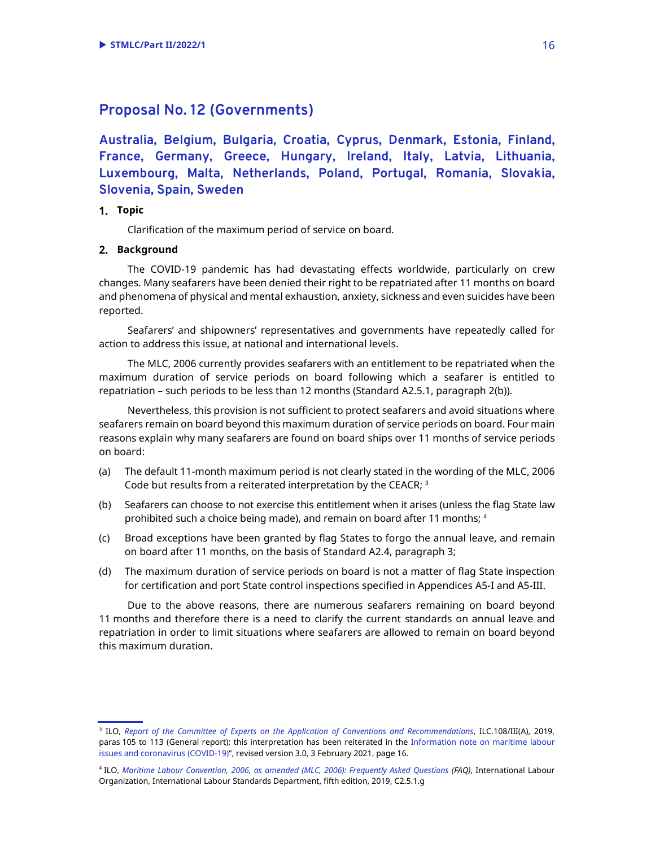## **Proposal No. 12 (Governments)**

**Australia, Belgium, Bulgaria, Croatia, Cyprus, Denmark, Estonia, Finland, France, Germany, Greece, Hungary, Ireland, Italy, Latvia, Lithuania, Luxembourg, Malta, Netherlands, Poland, Portugal, Romania, Slovakia, Slovenia, Spain, Sweden**

### **Topic**

Clarification of the maximum period of service on board.

### **Background**

The COVID-19 pandemic has had devastating effects worldwide, particularly on crew changes. Many seafarers have been denied their right to be repatriated after 11 months on board and phenomena of physical and mental exhaustion, anxiety, sickness and even suicides have been reported.

Seafarers' and shipowners' representatives and governments have repeatedly called for action to address this issue, at national and international levels.

The MLC, 2006 currently provides seafarers with an entitlement to be repatriated when the maximum duration of service periods on board following which a seafarer is entitled to repatriation – such periods to be less than 12 months (Standard A2.5.1, paragraph 2(b)).

Nevertheless, this provision is not sufficient to protect seafarers and avoid situations where seafarers remain on board beyond this maximum duration of service periods on board. Four main reasons explain why many seafarers are found on board ships over 11 months of service periods on board:

- (a) The default 11-month maximum period is not clearly stated in the wording of the MLC, 2006 Code but results from a reiterated interpretation by the CEACR;  $^3$
- (b) Seafarers can choose to not exercise this entitlement when it arises (unless the flag State law prohibited such a choice being made), and remain on board after 11 months; <sup>4</sup>
- (c) Broad exceptions have been granted by flag States to forgo the annual leave, and remain on board after 11 months, on the basis of Standard A2.4, paragraph 3;
- (d) The maximum duration of service periods on board is not a matter of flag State inspection for certification and port State control inspections specified in Appendices A5-I and A5-III.

Due to the above reasons, there are numerous seafarers remaining on board beyond 11 months and therefore there is a need to clarify the current standards on annual leave and repatriation in order to limit situations where seafarers are allowed to remain on board beyond this maximum duration.

<sup>3</sup> ILO, *Report of the Committee of Experts on the Application of Conventions and Recommendations*, ILC.108/III(A), 2019, paras 105 to 113 (General report); this interpretation has been reiterated in the Information note on maritime labour issues and coronavirus (COVID-19)", revised version 3.0, 3 February 2021, page 16.

<sup>4</sup> ILO, *Maritime Labour Convention, 2006, as amended (MLC, 2006): Frequently Asked Questions (FAQ)*, International Labour Organization, International Labour Standards Department, fifth edition, 2019, C2.5.1.g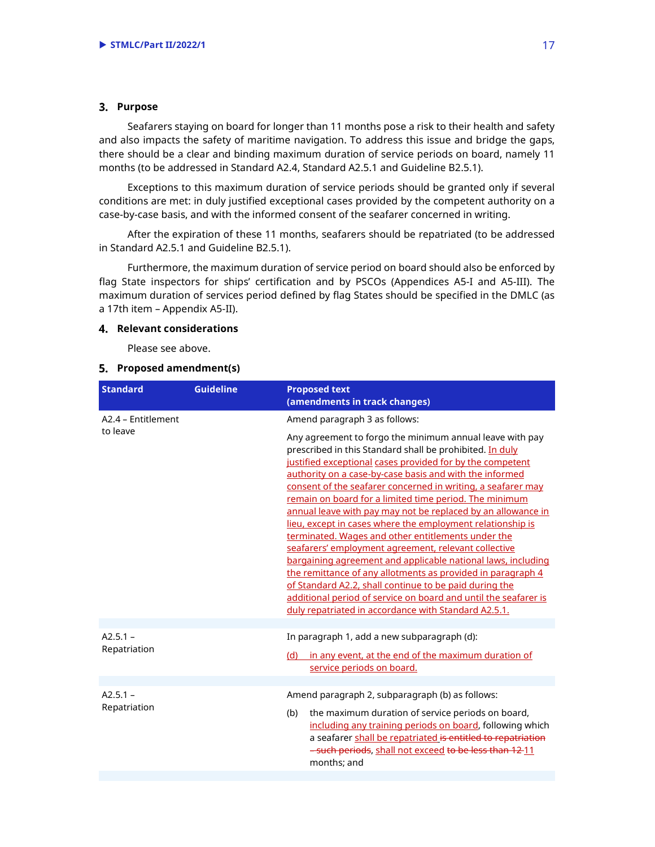#### **Purpose**

Seafarers staying on board for longer than 11 months pose a risk to their health and safety and also impacts the safety of maritime navigation. To address this issue and bridge the gaps, there should be a clear and binding maximum duration of service periods on board, namely 11 months (to be addressed in Standard A2.4, Standard A2.5.1 and Guideline B2.5.1).

Exceptions to this maximum duration of service periods should be granted only if several conditions are met: in duly justified exceptional cases provided by the competent authority on a case-by-case basis, and with the informed consent of the seafarer concerned in writing.

After the expiration of these 11 months, seafarers should be repatriated (to be addressed in Standard A2.5.1 and Guideline B2.5.1).

Furthermore, the maximum duration of service period on board should also be enforced by flag State inspectors for ships' certification and by PSCOs (Appendices A5-I and A5-III). The maximum duration of services period defined by flag States should be specified in the DMLC (as a 17th item – Appendix A5-II).

#### **Relevant considerations**

Please see above.

| <b>Standard</b>            | <b>Guideline</b> | <b>Proposed text</b><br>(amendments in track changes)                                                                                                                                                                                                                                                                                                                                                                                                                                                                                                                                                                                                                                                                                                                                                                                                                                                                                  |
|----------------------------|------------------|----------------------------------------------------------------------------------------------------------------------------------------------------------------------------------------------------------------------------------------------------------------------------------------------------------------------------------------------------------------------------------------------------------------------------------------------------------------------------------------------------------------------------------------------------------------------------------------------------------------------------------------------------------------------------------------------------------------------------------------------------------------------------------------------------------------------------------------------------------------------------------------------------------------------------------------|
| A2.4 - Entitlement         |                  | Amend paragraph 3 as follows:                                                                                                                                                                                                                                                                                                                                                                                                                                                                                                                                                                                                                                                                                                                                                                                                                                                                                                          |
| to leave                   |                  | Any agreement to forgo the minimum annual leave with pay<br>prescribed in this Standard shall be prohibited. In duly<br>justified exceptional cases provided for by the competent<br>authority on a case-by-case basis and with the informed<br>consent of the seafarer concerned in writing, a seafarer may<br>remain on board for a limited time period. The minimum<br>annual leave with pay may not be replaced by an allowance in<br>lieu, except in cases where the employment relationship is<br>terminated. Wages and other entitlements under the<br>seafarers' employment agreement, relevant collective<br>bargaining agreement and applicable national laws, including<br>the remittance of any allotments as provided in paragraph 4<br>of Standard A2.2, shall continue to be paid during the<br>additional period of service on board and until the seafarer is<br>duly repatriated in accordance with Standard A2.5.1. |
|                            |                  |                                                                                                                                                                                                                                                                                                                                                                                                                                                                                                                                                                                                                                                                                                                                                                                                                                                                                                                                        |
| $A2.5.1 -$<br>Repatriation |                  | In paragraph 1, add a new subparagraph (d):<br>(d) in any event, at the end of the maximum duration of<br>service periods on board.                                                                                                                                                                                                                                                                                                                                                                                                                                                                                                                                                                                                                                                                                                                                                                                                    |
|                            |                  |                                                                                                                                                                                                                                                                                                                                                                                                                                                                                                                                                                                                                                                                                                                                                                                                                                                                                                                                        |
| $A2.5.1 -$<br>Repatriation |                  | Amend paragraph 2, subparagraph (b) as follows:<br>the maximum duration of service periods on board,<br>(b)<br>including any training periods on board, following which<br>a seafarer shall be repatriated is entitled to repatriation<br>-such periods, shall not exceed to be less than 12-11<br>months: and                                                                                                                                                                                                                                                                                                                                                                                                                                                                                                                                                                                                                         |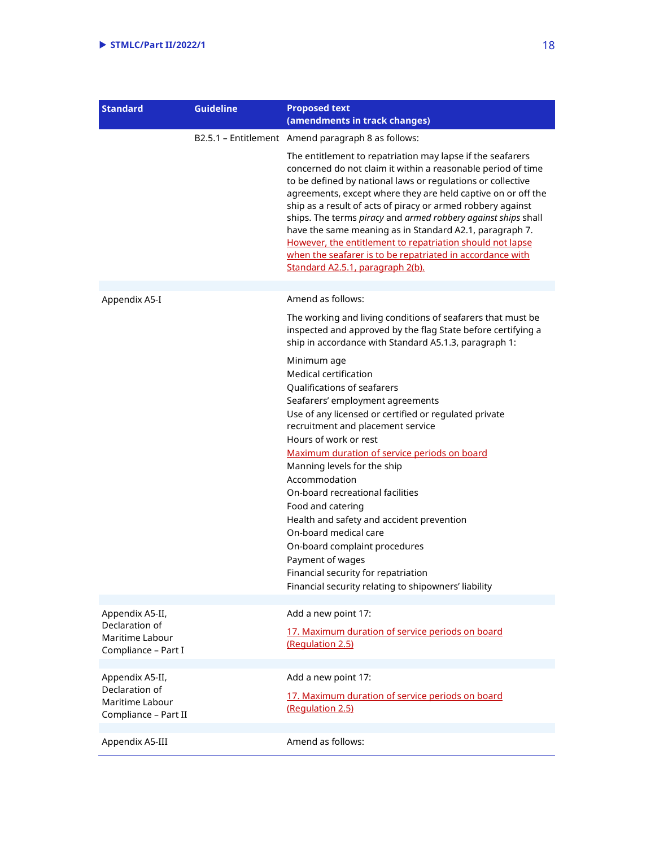| <b>Standard</b>                                                              | <b>Guideline</b> | <b>Proposed text</b><br>(amendments in track changes)                                                                                                                                                                                                                                                                                                                                                                                                                                                                                                                                                              |
|------------------------------------------------------------------------------|------------------|--------------------------------------------------------------------------------------------------------------------------------------------------------------------------------------------------------------------------------------------------------------------------------------------------------------------------------------------------------------------------------------------------------------------------------------------------------------------------------------------------------------------------------------------------------------------------------------------------------------------|
|                                                                              |                  | B2.5.1 - Entitlement Amend paragraph 8 as follows:                                                                                                                                                                                                                                                                                                                                                                                                                                                                                                                                                                 |
|                                                                              |                  | The entitlement to repatriation may lapse if the seafarers<br>concerned do not claim it within a reasonable period of time<br>to be defined by national laws or regulations or collective<br>agreements, except where they are held captive on or off the<br>ship as a result of acts of piracy or armed robbery against<br>ships. The terms piracy and armed robbery against ships shall<br>have the same meaning as in Standard A2.1, paragraph 7.<br>However, the entitlement to repatriation should not lapse<br>when the seafarer is to be repatriated in accordance with<br>Standard A2.5.1, paragraph 2(b). |
| Appendix A5-I                                                                |                  | Amend as follows:                                                                                                                                                                                                                                                                                                                                                                                                                                                                                                                                                                                                  |
|                                                                              |                  | The working and living conditions of seafarers that must be<br>inspected and approved by the flag State before certifying a<br>ship in accordance with Standard A5.1.3, paragraph 1:                                                                                                                                                                                                                                                                                                                                                                                                                               |
|                                                                              |                  | Minimum age<br>Medical certification<br>Qualifications of seafarers<br>Seafarers' employment agreements<br>Use of any licensed or certified or regulated private<br>recruitment and placement service<br>Hours of work or rest<br>Maximum duration of service periods on board<br>Manning levels for the ship<br>Accommodation<br>On-board recreational facilities<br>Food and catering<br>Health and safety and accident prevention<br>On-board medical care<br>On-board complaint procedures<br>Payment of wages<br>Financial security for repatriation<br>Financial security relating to shipowners' liability  |
| Appendix A5-II,<br>Declaration of<br>Maritime Labour<br>Compliance - Part I  |                  | Add a new point 17:<br>17. Maximum duration of service periods on board<br>(Regulation 2.5)                                                                                                                                                                                                                                                                                                                                                                                                                                                                                                                        |
| Appendix A5-II,<br>Declaration of<br>Maritime Labour<br>Compliance - Part II |                  | Add a new point 17:<br>17. Maximum duration of service periods on board<br>(Regulation 2.5)                                                                                                                                                                                                                                                                                                                                                                                                                                                                                                                        |
| Appendix A5-III                                                              |                  | Amend as follows:                                                                                                                                                                                                                                                                                                                                                                                                                                                                                                                                                                                                  |